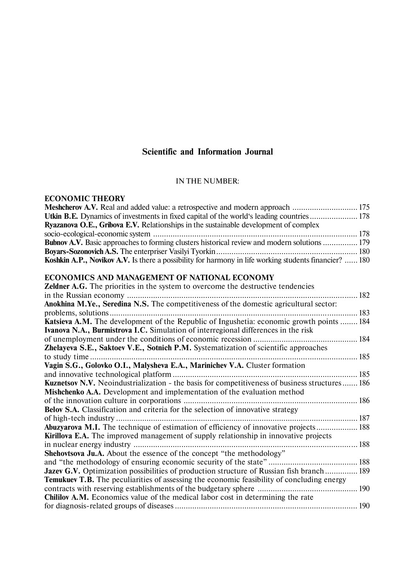# **Scientific and Information Journal**

## IN THE NUMBER:

## **ECONOMIC THEORY**

| <b>Ryazanova O.E., Gribova E.V.</b> Relationships in the sustainable development of complex                   |  |
|---------------------------------------------------------------------------------------------------------------|--|
|                                                                                                               |  |
| <b>Bubnov A.V.</b> Basic approaches to forming clusters historical review and modern solutions  179           |  |
|                                                                                                               |  |
| <b>Koshkin A.P., Novikov A.V.</b> Is there a possibility for harmony in life working students financier?  180 |  |

## **ECONOMICS AND MANAGEMENT OF NATIONAL ECONOMY**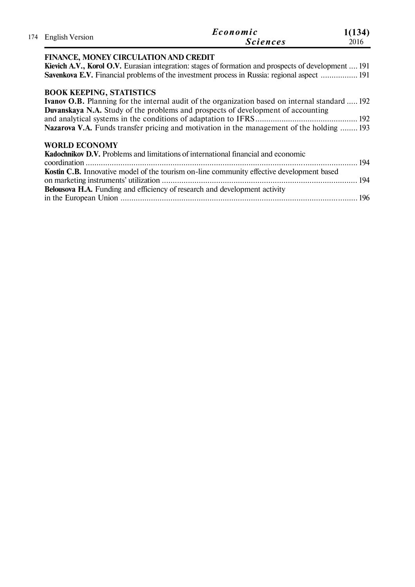| 174 | English Version                                                                                                                                                                                | Economic<br><b>Sciences</b>                                                                                                                                                                                                                                                                    | 1(134)<br>2016 |
|-----|------------------------------------------------------------------------------------------------------------------------------------------------------------------------------------------------|------------------------------------------------------------------------------------------------------------------------------------------------------------------------------------------------------------------------------------------------------------------------------------------------|----------------|
|     | <b>FINANCE, MONEY CIRCULATION AND CREDIT</b>                                                                                                                                                   | Kievich A.V., Korol O.V. Eurasian integration: stages of formation and prospects of development  191<br>Savenkova E.V. Financial problems of the investment process in Russia: regional aspect  191                                                                                            |                |
|     | <b>BOOK KEEPING, STATISTICS</b>                                                                                                                                                                | <b>Ivanov O.B.</b> Planning for the internal audit of the organization based on internal standard  192<br><b>Duvanskaya N.A.</b> Study of the problems and prospects of development of accounting<br>Nazarova V.A. Funds transfer pricing and motivation in the management of the holding  193 |                |
|     | <b>WORLD ECONOMY</b><br><b>Kadochnikov D.V.</b> Problems and limitations of international financial and economic<br>Belousova H.A. Funding and efficiency of research and development activity | <b>Kostin C.B.</b> Innovative model of the tourism on-line community effective development based                                                                                                                                                                                               | 196            |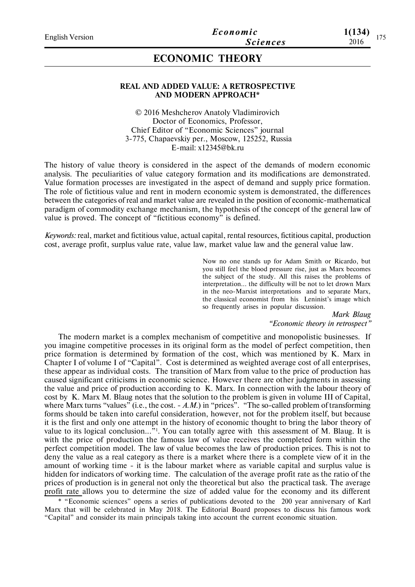# **ECONOMIC THEORY**

### **REAL AND ADDED VALUE: A RETROSPECTIVE AND MODERN APPROACH\***

© 2016 Meshcherov Anatoly Vladimirovich Doctor of Economics, Professor, Chief Editor of "Economic Sciences" journal 3-775, Chapaevskiy per., Moscow, 125252, Russia E-mail: x12345@bk.ru

The history of value theory is considered in the aspect of the demands of modern economic analysis. The peculiarities of value category formation and its modifications are demonstrated. Value formation processes are investigated in the aspect of demand and supply price formation. The role of fictitious value and rent in modern economic system is demonstrated, the differences between the categories of real and market value are revealed in the position of economic-mathematical paradigm of commodity exchange mechanism, the hypothesis of the concept of the general law of value is proved. The concept of "fictitious economy" is defined.

*Keywords:* real, market and fictitious value, actual capital, rental resources, fictitious capital, production cost, average profit, surplus value rate, value law, market value law and the general value law.

> Now no one stands up for Adam Smith or Ricardo, but you still feel the blood pressure rise, just as Marx becomes the subject of the study. All this raises the problems of interpretation... the difficulty will be not to let drown Marx in the neo-Marxist interpretations and to separate Marx, the classical economist from his Leninist's image which so frequently arises in popular discussion.

> > *Mark Blaug "Economic theory in retrospect"*

The modern market is a complex mechanism of competitive and monopolistic businesses. If you imagine competitive processes in its original form as the model of perfect competition, then price formation is determined by formation of the cost, which was mentioned by K. Marx in Chapter I of volume I of "Capital". Cost is determined as weighted average cost of all enterprises, these appear as individual costs. The transition of Marx from value to the price of production has caused significant criticisms in economic science. However there are other judgments in assessing the value and price of production according to K. Marx. In connection with the labour theory of cost by K. Marx M. Blaug notes that the solution to the problem is given in volume III of Capital, where Marx turns "values" (i.e., the cost. - A.M.) in "prices". "The so-called problem of transforming forms should be taken into careful consideration, however, not for the problem itself, but because it is the first and only one attempt in the history of economic thought to bring the labor theory of value to its logical conclusion..."<sup>1</sup>. You can totally agree with this assessment of M. Blaug. It is with the price of production the famous law of value receives the completed form within the perfect competition model. The law of value becomes the law of production prices. This is not to deny the value as a real category as there is a market where there is a complete view of it in the amount of working time - it is the labour market where as variable capital and surplus value is hidden for indicators of working time. The calculation of the average profit rate as the ratio of the prices of production is in general not only the theoretical but also the practical task. The average profit rate allows you to determine the size of added value for the economy and its different

\* "Economic sciences" opens a series of publications devoted to the 200 year anniversary of Karl Marx that will be celebrated in May 2018. The Editorial Board proposes to discuss his famous work "Capital" and consider its main principals taking into account the current economic situation.

**1(134)**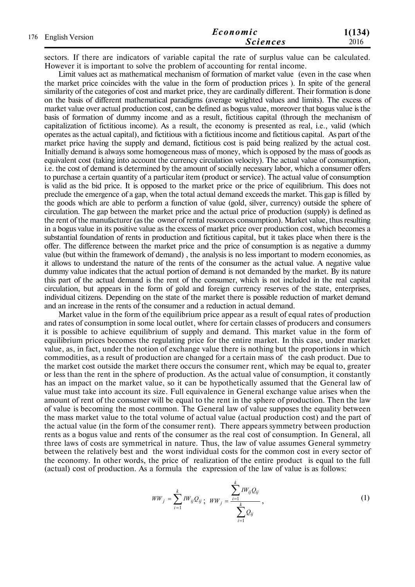| 176 English Version | Economic        | 1(134) |
|---------------------|-----------------|--------|
|                     | <b>Sciences</b> | 2016   |

sectors. If there are indicators of variable capital the rate of surplus value can be calculated. However it is important to solve the problem of accounting for rental income.

Limit values act as mathematical mechanism of formation of market value (even in the case when the market price coincides with the value in the form of production prices ). In spite of the general similarity of the categories of cost and market price, they are cardinally different. Their formation is done on the basis of different mathematical paradigms (average weighted values and limits). The excess of market value over actual production cost, can be defined as bogus value, moreover that bogus value is the basis of formation of dummy income and as a result, fictitious capital (through the mechanism of capitalization of fictitious income). As a result, the economy is presented as real, i.e., valid (which operates as the actual capital), and fictitious with a fictitious income and fictitious capital. As part of the market price having the supply and demand, fictitious cost is paid being realized by the actual cost. Initially demand is always some homogeneous mass of money, which is opposed by the mass of goods as equivalent cost (taking into account the currency circulation velocity). The actual value of consumption, i.e. the cost of demand is determined by the amount of socially necessary labor, which a consumer offers to purchase a certain quantity of a particular item (product or service). The actual value of consumption is valid as the bid price. It is opposed to the market price or the price of equilibrium. This does not preclude the emergence of a gap, when the total actual demand exceeds the market. This gap is filled by the goods which are able to perform a function of value (gold, silver, currency) outside the sphere of circulation. The gap between the market price and the actual price of production (supply) is defined as the rent of the manufacturer (as the owner of rental resources consumption). Market value, thus resulting in a bogus value in its positive value as the excess of market price over production cost, which becomes a substantial foundation of rents in production and fictitious capital, but it takes place when there is the offer. The difference between the market price and the price of consumption is as negative a dummy value (but within the framework of demand) , the analysis is no less important to modern economies, as it allows to understand the nature of the rents of the consumer as the actual value. A negative value dummy value indicates that the actual portion of demand is not demanded by the market. By its nature this part of the actual demand is the rent of the consumer, which is not included in the real capital circulation, but appears in the form of gold and foreign currency reserves of the state, enterprises, individual citizens. Depending on the state of the market there is possible reduction of market demand and an increase in the rents of the consumer and a reduction in actual demand.

Market value in the form of the equilibrium price appear as a result of equal rates of production and rates of consumption in some local outlet, where for certain classes of producers and consumers it is possible to achieve equilibrium of supply and demand. This market value in the form of equilibrium prices becomes the regulating price for the entire market. In this case, under market value, as, in fact, under the notion of exchange value there is nothing but the proportions in which commodities, as a result of production are changed for a certain mass of the cash product. Due to the market cost outside the market there occurs the consumer rent, which may be equal to, greater or less than the rent in the sphere of production. As the actual value of consumption, it constantly has an impact on the market value, so it can be hypothetically assumed that the General law of value must take into account its size. Full equivalence in General exchange value arises when the amount of rent of the consumer will be equal to the rent in the sphere of production. Then the law of value is becoming the most common. The General law of value supposes the equality between the mass market value to the total volume of actual value (actual production cost) and the part of the actual value (in the form of the consumer rent). There appears symmetry between production rents as a bogus value and rents of the consumer as the real cost of consumption. In General, all three laws of costs are symmetrical in nature. Thus, the law of value assumes General symmetry between the relatively best and the worst individual costs for the common cost in every sector of the economy. In other words, the price of realization of the entire product is equal to the full (actual) cost of production. As a formula the expression of the law of value is as follows:

$$
WW_j = \sum_{i=1}^k IW_{ij}Q_{ij} ; \quad WW_j = \frac{\sum_{i=1}^k IW_{ij}Q_{ij}}{\sum_{i=1}^k Q_{ij}}, \tag{1}
$$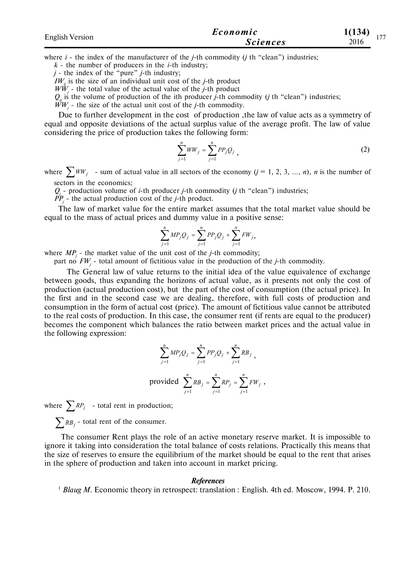| <b>English Version</b> | Economic        | 1(134)<br>1.77 |
|------------------------|-----------------|----------------|
|                        | <b>Sciences</b> | 2016           |

where *i* - the index of the manufacturer of the *j*-th commodity (*j* th "clean") industries;

 $k$  - the number of producers in the *i*-th industry;

*j* - the index of the "pure" *j*-th industry;

 $IW<sub>ii</sub>$  is the size of an individual unit cost of the *j*-th product

*WW<sup>j</sup>* - the total value of the actual value of the *j*-th product

 $Q_i$  is the volume of production of the ith producer *j*-th commodity (*j* th "clean") industries;

 $WW_j$  - the size of the actual unit cost of the *j*-th commodity.

Due to further development in the cost of production ,the law of value acts as a symmetry of equal and opposite deviations of the actual surplus value of the average profit. The law of value considering the price of production takes the following form:

$$
\sum_{j=1}^{n} WW_j = \sum_{j=1}^{n} PP_j Q_j,
$$
 (2)

,

where  $\sum_{i}^{W} W_{i}$  - sum of actual value in all sectors of the economy  $(j = 1, 2, 3, ..., n)$ , *n* is the number of sectors in the economics;

*Qj* - production volume of *i*-th producer *j*-th commodity (*j* th "clean") industries;

*PP<sup>j</sup>* - the actual production cost of the *j*-th product.

The law of market value for the entire market assumes that the total market value should be equal to the mass of actual prices and dummy value in a positive sense:

$$
\sum_{j=1}^{n} MP_j Q_j = \sum_{j=1}^{n} PP_j Q_j + \sum_{j=1}^{n} FW_j,
$$

where  $MP_j$  - the market value of the unit cost of the *j*-th commodity;

part no *FW<sup>j</sup>* - total amount of fictitious value in the production of the *j*-th commodity.

 The General law of value returns to the initial idea of the value equivalence of exchange between goods, thus expanding the horizons of actual value, as it presents not only the cost of production (actual production cost), but the part of the cost of consumption (the actual price). In the first and in the second case we are dealing, therefore, with full costs of production and consumption in the form of actual cost (price). The amount of fictitious value cannot be attributed to the real costs of production. In this case, the consumer rent (if rents are equal to the producer) becomes the component which balances the ratio between market prices and the actual value in the following expression:

$$
\sum_{j=1}^{n} MP_j Q_j = \sum_{j=1}^{n} PP_j Q_j + \sum_{j=1}^{n} RB_j ,
$$
  
provided 
$$
\sum_{j=1}^{n} RB_j = \sum_{j=1}^{n} RP_j = \sum_{j=1}^{n} FW_j
$$

where  $\sum R P_j$  - total rent in production;

 $\sum$ *RB*<sub>*j*</sub> - total rent of the consumer.

 The consumer Rent plays the role of an active monetary reserve market. It is impossible to ignore it taking into consideration the total balance of costs relations. Practically this means that the size of reserves to ensure the equilibrium of the market should be equal to the rent that arises in the sphere of production and taken into account in market pricing.

#### *References*

<sup>1</sup> *Blaug M.* Economic theory in retrospect: translation : English. 4th ed. Moscow, 1994. P. 210.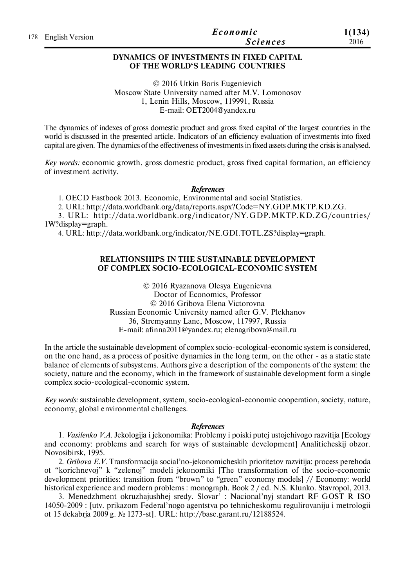|                     | Economic        | 1(134) |
|---------------------|-----------------|--------|
| 178 English Version | <b>Sciences</b> | 2016   |

## **DYNAMICS OF INVESTMENTS IN FIXED CAPITAL OF THE WORLD'S LEADING COUNTRIES**

© 2016 Utkin Boris Eugenievich Moscow State University named after M.V. Lomonosov 1, Lenin Hills, Moscow, 119991, Russia E-mail: OET2004@yandex.ru

The dynamics of indexes of gross domestic product and gross fixed capital of the largest countries in the world is discussed in the presented article. Indicators of an efficiency evaluation of investments into fixed capital are given. The dynamics of the effectiveness of investments in fixed assets during the crisis is analysed.

*Key words:* economic growth, gross domestic product, gross fixed capital formation, an efficiency of investment activity.

#### *References*

1. OECD Fastbook 2013. Economic, Environmental and social Statistics.

2. URL: http://data.worldbank.org/data/reports.aspx?Code=NY.GDP.MKTP.KD.ZG.

3. URL: http://data.worldbank.org/indicator/NY.GDP.MKTP.KD.ZG/countries/ 1W?display=graph.

4. URL: http://data.worldbank.org/indicator/NE.GDI.TOTL.ZS?display=graph.

## **RELATIONSHIPS IN THE SUSTAINABLE DEVELOPMENT OF COMPLEX SOCIO-ECOLOGICAL-ECONOMIC SYSTEM**

© 2016 Ryazanova Olesya Eugenievna Doctor of Economics, Professor © 2016 Gribova Elena Victorovna Russian Economic University named after G.V. Plekhanov 36, Stremyanny Lane, Moscow, 117997, Russia E-mail: afinna2011@yandex.ru; elenagribova@mail.ru

In the article the sustainable development of complex socio-ecological-economic system is considered, on the one hand, as a process of positive dynamics in the long term, on the other - as a static state balance of elements of subsystems. Authors give a description of the components of the system: the society, nature and the economy, which in the framework of sustainable development form a single complex socio-ecological-economic system.

*Key words:* sustainable development, system, socio-ecological-economic cooperation, society, nature, economy, global environmental challenges.

#### *References*

1. *Vasilenko V.A.* Jekologija i jekonomika: Problemy i poiski putej ustojchivogo razvitija [Ecology and economy: problems and search for ways of sustainable development] Analiticheskij obzor. Novosibirsk, 1995.

2. *Gribova E.V.* Transformacija social'no-jekonomicheskih prioritetov razvitija: process perehoda ot "korichnevoj" k "zelenoj" modeli jekonomiki [The transformation of the socio-economic development priorities: transition from "brown" to "green" economy models] // Economy: world historical experience and modern problems : monograph. Book 2 / ed. N.S. Klunko. Stavropol, 2013.

3. Menedzhment okruzhajushhej sredy. Slovar' : Nacional'nyj standart RF GOST R ISO 14050-2009 : [utv. prikazom Federal'nogo agentstva po tehnicheskomu regulirovaniju i metrologii ot 15 dekabrja 2009 g. № 1273-st]. URL: http://base.garant.ru/12188524.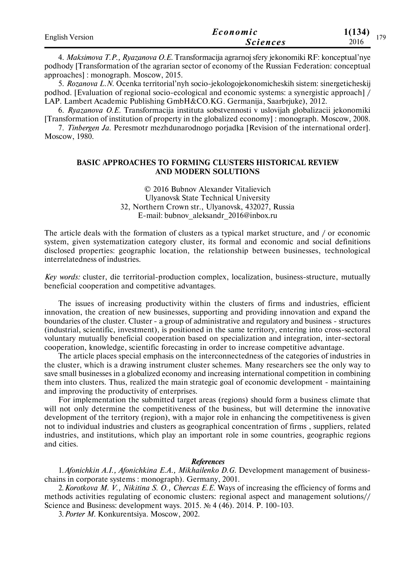| <b>English Version</b> | Economic        | 1(134)<br>170 |  |
|------------------------|-----------------|---------------|--|
|                        | <b>Sciences</b> | 2016          |  |

4. *Maksimova T.P., Ryazanova O.E.* Transformacija agrarnoj sfery jekonomiki RF: konceptual'nye podhody [Transformation of the agrarian sector of economy of the Russian Federation: conceptual approaches] : monograph. Moscow, 2015.

5. *Rozanova L.N.* Ocenka territorial'nyh socio-jekologojekonomicheskih sistem: sinergeticheskij podhod. [Evaluation of regional socio-ecological and economic systems: a synergistic approach] / LAP. Lambert Academic Publishing GmbH&CO.KG. Germanija, Saarbrjuke), 2012.

6. *Ryazanova O.E.* Transformacija instituta sobstvennosti v uslovijah globalizacii jekonomiki [Transformation of institution of property in the globalized economy] : monograph. Moscow, 2008.

7. *Tinbergen Ja.* Peresmotr mezhdunarodnogo porjadka [Revision of the international order]. Moscow, 1980.

### **BASIC APPROACHES TO FORMING CLUSTERS HISTORICAL REVIEW AND MODERN SOLUTIONS**

© 2016 Bubnov Alexander Vitalievich Ulyanovsk State Technical University 32, Northern Crown str., Ulyanovsk, 432027, Russia E-mail: bubnov\_aleksandr\_2016@inbox.ru

The article deals with the formation of clusters as a typical market structure, and / or economic system, given systematization category cluster, its formal and economic and social definitions disclosed properties: geographic location, the relationship between businesses, technological interrelatedness of industries.

*Key words:* cluster, die territorial-production complex, localization, business-structure, mutually beneficial cooperation and competitive advantages.

The issues of increasing productivity within the clusters of firms and industries, efficient innovation, the creation of new businesses, supporting and providing innovation and expand the boundaries of the cluster. Cluster - a group of administrative and regulatory and business - structures (industrial, scientific, investment), is positioned in the same territory, entering into cross-sectoral voluntary mutually beneficial cooperation based on specialization and integration, inter-sectoral cooperation, knowledge, scientific forecasting in order to increase competitive advantage.

The article places special emphasis on the interconnectedness of the categories of industries in the cluster, which is a drawing instrument cluster schemes. Many researchers see the only way to save small businesses in a globalized economy and increasing international competition in combining them into clusters. Thus, realized the main strategic goal of economic development - maintaining and improving the productivity of enterprises.

For implementation the submitted target areas (regions) should form a business climate that will not only determine the competitiveness of the business, but will determine the innovative development of the territory (region), with a major role in enhancing the competitiveness is given not to individual industries and clusters as geographical concentration of firms , suppliers, related industries, and institutions, which play an important role in some countries, geographic regions and cities.

#### *References*

1. Afonichkin A.I., Afonichkina E.A., Mikhailenko D.G. Development management of businesschains in corporate systems : monograph). Germany, 2001.

2.*Korotkova M. V., Nikitina S. O., Chercas E.E.* Ways of increasing the efficiency of forms and methods activities regulating of economic clusters: regional aspect and management solutions// Science and Business: development ways. 2015. № 4 (46). 2014. P. 100-103.

3.*Porter M.* Konkurentsiya. Moscow, 2002.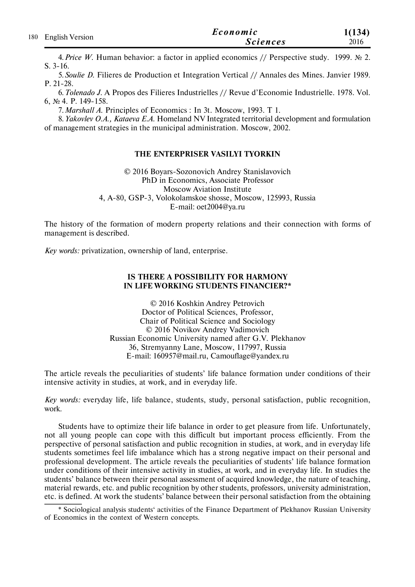| 180 English Version | Economic        | 1(134) |
|---------------------|-----------------|--------|
|                     | <i>Sciences</i> | 2016   |

4.*Price W.* Human behavior: a factor in applied economics // Perspective study. 1999. № 2. S. 3-16.

5.*Soulie D.* Filieres de Production et Integration Vertical // Annales des Mines. Janvier 1989. P. 21-28.

6.*Tolenado J.* A Propos des Filieres Industrielles // Revue d'Economie Industrielle. 1978. Vol. 6, № 4. P. 149-158.

7. Marshall A. Principles of Economics : In 3t. Moscow, 1993. T 1.

8.*Yakovlev O.A., Kataeva E.A.* Homeland NV Integrated territorial development and formulation of management strategies in the municipal administration. Moscow, 2002.

### **THE ENTERPRISER VASILYI TYORKIN**

© 2016 Boyars-Sоzonovich Andrey Stanislavovich PhD in Economics, Associate Professor Moscow Aviation Institute 4, A-80, GSP-3, Volokolamskoe shosse, Moscow, 125993, Russia E-mail: oet2004@ya.ru

The history of the formation of modern property relations and their connection with forms of management is described.

*Key words:* privatization, ownership of land, enterprise.

### **IS THERE A POSSIBILITY FOR HARMONY IN LIFE WORKING STUDENTS FINANCIER?\***

© 2016 Koshkin Andrey Petrovich Doctor of Political Sciences, Professor, Chair of Political Science and Sociology © 2016 Novikov Andrey Vadimovich Russian Economic University named after G.V. Plekhanov 36, Stremyanny Lane, Moscow, 117997, Russia E-mail: 160957@mail.ru, Camouflage@yandex.ru

The article reveals the peculiarities of students' life balance formation under conditions of their intensive activity in studies, at work, and in everyday life.

*Key words:* everyday life, life balance, students, study, personal satisfaction, public recognition, work.

Students have to optimize their life balance in order to get pleasure from life. Unfortunately, not all young people can cope with this difficult but important process efficiently. From the perspective of personal satisfaction and public recognition in studies, at work, and in everyday life students sometimes feel life imbalance which has a strong negative impact on their personal and professional development. The article reveals the peculiarities of students' life balance formation under conditions of their intensive activity in studies, at work, and in everyday life. In studies the students' balance between their personal assessment of acquired knowledge, the nature of teaching, material rewards, etc. and public recognition by other students, professors, university administration, etc. is defined. At work the students' balance between their personal satisfaction from the obtaining

<sup>\*</sup> Sociological analysis students' activities of the Finance Department of Plekhanov Russian University of Economics in the context of Western concepts.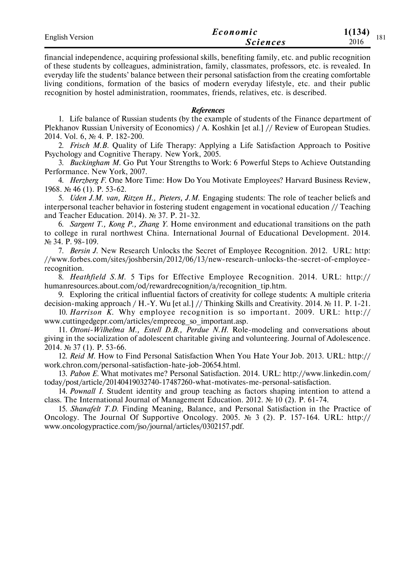| <b>English Version</b> | Economic        | 1(134)      |
|------------------------|-----------------|-------------|
|                        | <i>Sciences</i> | 101<br>2016 |

financial independence, acquiring professional skills, benefiting family, etc. and public recognition of these students by colleagues, administration, family, classmates, professors, etc. is revealed. In everyday life the students' balance between their personal satisfaction from the creating comfortable living conditions, formation of the basics of modern everyday lifestyle, etc. and their public recognition by hostel administration, roommates, friends, relatives, etc. is described.

## *References*

1. Life balance of Russian students (by the example of students of the Finance department of Plekhanov Russian University of Economics) / A. Koshkin [et al.] // Review of European Studies. 2014. Vol. 6, № 4. Р. 182-200.

2. *Frisch M.B.* Quality of Life Therapy: Applying a Life Satisfaction Approach to Positive Psychology and Cognitive Therapy. New York, 2005.

3. *Buckingham М.* Go Put Your Strengths to Work: 6 Powerful Steps to Achieve Outstanding Performance. New York, 2007.

4. *Herzberg F.* One More Time: How Do You Motivate Employees? Harvard Business Review, 1968. № 46 (1). P. 53-62.

5. *Uden J.M. van, Ritzen H., Pieters, J.M.* Engaging students: The role of teacher beliefs and interpersonal teacher behavior in fostering student engagement in vocational education // Teaching and Teacher Education. 2014). № 37. Р. 21-32.

6. *Sargent T., Kong P., Zhang Y.* Home environment and educational transitions on the path to college in rural northwest China. International Journal of Educational Development. 2014. № 34. Р. 98-109.

7. *Bersin J.* New Research Unlocks the Secret of Employee Recognition. 2012. URL: http: //www.forbes.com/sites/joshbersin/2012/06/13/new-research-unlocks-the-secret-of-employeerecognition.

8. *Heathfield S.M.* 5 Tips for Effective Employee Recognition. 2014. URL: http:// humanresources.about.com/od/rewardrecognition/a/recognition\_tip.htm.

9. Exploring the critical influential factors of creativity for college students: A multiple criteria decision-making approach / H.-Y. Wu [et al.] // Thinking Skills and Creativity. 2014. № 11. Р. 1-21.

10. *Harrison K.* Why employee recognition is so important. 2009. URL: http:// www.cuttingedgepr.com/articles/emprecog\_so\_important.asp.

11. *Ottoni-Wilhelma M., Estell D.B., Perdue N.H.* Role-modeling and conversations about giving in the socialization of adolescent charitable giving and volunteering. Journal of Adolescence. 2014. № 37 (1). P. 53-66.

12. *Reid M.* How to Find Personal Satisfaction When You Hate Your Job. 2013. URL: http:// work.chron.com/personal-satisfaction-hate-job-20654.html.

13. *Pabon E.* What motivates me? Personal Satisfaction. 2014. URL: http://www.linkedin.com/ today/post/article/20140419032740-17487260-what-motivates-me-personal-satisfaction.

14. *Pownall I.* Student identity and group teaching as factors shaping intention to attend a class. The International Journal of Management Education. 2012. № 10 (2). P. 61-74.

15. *Shanafelt T.D.* Finding Meaning, Balance, and Personal Satisfaction in the Practice of Oncology. The Journal Of Supportive Oncology. 2005. № 3 (2). P. 157-164. URL: http:// www.oncologypractice.com/jso/journal/articles/0302157.pdf.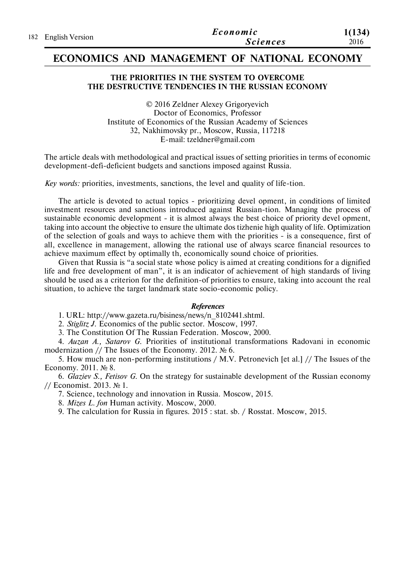|                     | Economic        | 1(134) |
|---------------------|-----------------|--------|
| 182 English Version | <b>Sciences</b> | 2016   |

## **ECONOMICS AND MANAGEMENT OF NATIONAL ECONOMY**

## **THE PRIORITIES IN THE SYSTEM TO OVERCOME THE DESTRUCTIVE TENDENCIES IN THE RUSSIAN ECONOMY**

© 2016 Zeldner Alexey Grigoryevich Doctor of Economics, Professor Institute of Economics of the Russian Academy of Sciences 32, Nakhimovsky pr., Moscow, Russia, 117218 E-mail: tzeldner@gmail.com

The article deals with methodological and practical issues of setting priorities in terms of economic development-defi-deficient budgets and sanctions imposed against Russia.

*Key words:* priorities, investments, sanctions, the level and quality of life-tion.

The article is devoted to actual topics - prioritizing devel opment, in conditions of limited investment resources and sanctions introduced against Russian-tion. Managing the process of sustainable economic development - it is almost always the best choice of priority devel opment, taking into account the objective to ensure the ultimate dos tizhenie high quality of life. Optimization of the selection of goals and ways to achieve them with the priorities - is a consequence, first of all, excellence in management, allowing the rational use of always scarce financial resources to achieve maximum effect by optimally th, economically sound choice of priorities.

Given that Russia is "a social state whose policy is aimed at creating conditions for a dignified life and free development of man", it is an indicator of achievement of high standards of living should be used as a criterion for the definition-of priorities to ensure, taking into account the real situation, to achieve the target landmark state socio-economic policy.

#### *References*

1. URL: http://www.gazeta.ru/bisiness/news/n\_8102441.shtml.

2. *Stiglitz J.* Economics of the public sector. Moscow, 1997.

3. The Constitution Of The Russian Federation. Moscow, 2000.

4. *Auzan A., Satarov G.* Priorities of institutional transformations Radovani in economic modernization // The Issues of the Economy. 2012. № 6.

5. How much are non-performing institutions / M.V. Petronevich [et al.] // The Issues of the Economy. 2011. № 8.

6. *Glaziev S., Fetisov G.* On the strategy for sustainable development of the Russian economy // Economist. 2013. № 1.

7. Science, technology and innovation in Russia. Moscow, 2015.

8. *Mizes L. fon* Human activity. Moscow, 2000.

9. The calculation for Russia in figures. 2015 : stat. sb. / Rosstat. Moscow, 2015.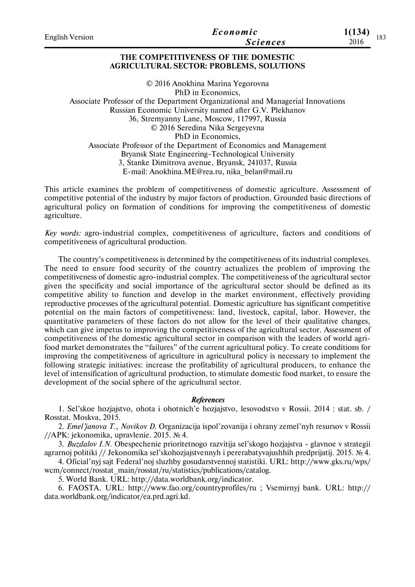| English Version | Economic        | 1(134)      |  |
|-----------------|-----------------|-------------|--|
|                 | <b>Sciences</b> | 183<br>2016 |  |
|                 |                 |             |  |

## **THE COMPETITIVENESS OF THE DOMESTIC AGRICULTURAL SECTOR: PROBLEMS, SOLUTIONS**

© 2016 Anokhina Marina Yegorovna PhD in Economics, Associate Professor of the Department Organizational and Managerial Innovations Russian Economic University named after G.V. Plekhanov 36, Stremyanny Lane, Moscow, 117997, Russia © 2016 Seredina Nika Sergeyevna PhD in Economics, Associate Professor of the Department of Economics and Management Bryansk State Engineering-Technological University 3, Stanke Dimitrova avenue, Bryansk, 241037, Russia E-mail: Anokhina.ME@rea.ru, nika\_belan@mail.ru

This article examines the problem of competitiveness of domestic agriculture. Assessment of competitive potential of the industry by major factors of production. Grounded basic directions of agricultural policy on formation of conditions for improving the competitiveness of domestic agriculture.

*Key words:* agro-industrial complex, competitiveness of agriculture, factors and conditions of competitiveness of agricultural production.

The country's competitiveness is determined by the competitiveness of its industrial complexes. The need to ensure food security of the country actualizes the problem of improving the competitiveness of domestic agro-industrial complex. The competitiveness of the agricultural sector given the specificity and social importance of the agricultural sector should be defined as its competitive ability to function and develop in the market environment, effectively providing reproductive processes of the agricultural potential. Domestic agriculture has significant competitive potential on the main factors of competitiveness: land, livestock, capital, labor. However, the quantitative parameters of these factors do not allow for the level of their qualitative changes, which can give impetus to improving the competitiveness of the agricultural sector. Assessment of competitiveness of the domestic agricultural sector in comparison with the leaders of world agrifood market demonstrates the "failures" of the current agricultural policy. To create conditions for improving the competitiveness of agriculture in agricultural policy is necessary to implement the following strategic initiatives: increase the profitability of agricultural producers, to enhance the level of intensification of agricultural production, to stimulate domestic food market, to ensure the development of the social sphere of the agricultural sector.

## *References*

1. Sel'skoe hozjajstvo, ohota i ohotnich'e hozjajstvo, lesovodstvo v Rossii. 2014 : stat. sb. / Rosstat. Moskva, 2015.

2. *Emel'janova T., Novikov D.* Organizacija ispol'zovanija i ohrany zemel'nyh resursov v Rossii //APK: jekonomika, upravlenie. 2015. № 4.

3. *Buzdalov I.N.* Obespechenie prioritetnogo razvitija sel'skogo hozjajstva - glavnoe v strategii agrarnoj politiki // Jekonomika sel'skohozjajstvennyh i pererabatyvajushhih predprijatij. 2015. № 4.

4. Oficial'nyj sajt Federal'noj sluzhby gosudarstvennoj statistiki. URL: http://www.gks.ru/wps/ wcm/connect/rosstat\_main/rosstat/ru/statistics/publications/catalog.

5. World Bank. URL: http://data.worldbank.org/indicator.

6. FAOSTA. URL: http://www.fao.org/countryprofiles/ru ; Vsemirnyj bank. URL: http:// data.worldbank.org/indicator/ea.prd.agri.kd.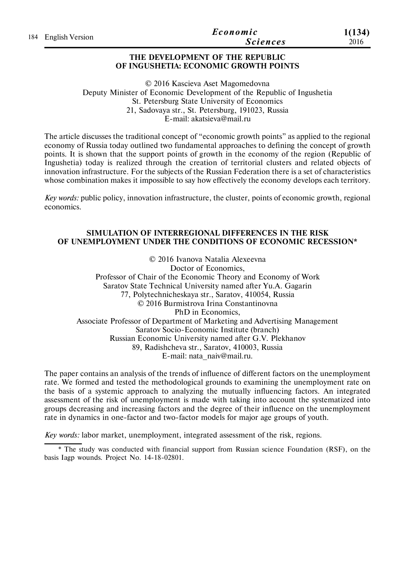|                     | Economic        | 1(134) |
|---------------------|-----------------|--------|
| 184 English Version | <i>Sciences</i> | 2016   |

### **THE DEVELOPMENT OF THE REPUBLIC OF INGUSHETIA: ECONOMIC GROWTH POINTS**

© 2016 Kascieva Aset Magomedovna Deputy Minister of Economic Development of the Republic of Ingushetia St. Petersburg State University of Economics 21, Sadovaya str., St. Petersburg, 191023, Russia E-mail: akatsieva@mail.ru

The article discusses the traditional concept of "economic growth points" as applied to the regional economy of Russia today outlined two fundamental approaches to defining the concept of growth points. It is shown that the support points of growth in the economy of the region (Republic of Ingushetia) today is realized through the creation of territorial clusters and related objects of innovation infrastructure. For the subjects of the Russian Federation there is a set of characteristics whose combination makes it impossible to say how effectively the economy develops each territory.

*Key words:* public policy, innovation infrastructure, the cluster, points of economic growth, regional economics.

## **SIMULATION OF INTERREGIONAL DIFFERENCES IN THE RISK OF UNEMPLOYMENT UNDER THE CONDITIONS OF ECONOMIC RECESSION\***

© 2016 Ivanova Natalia Alexeevna Doctor of Economics, Professor of Chair of the Economic Theory and Economy of Work Saratov State Technical University named after Yu.A. Gagarin 77, Polytechnicheskaya str., Saratov, 410054, Russia © 2016 Burmistrova Irina Constantinovna PhD in Economics, Associate Professor of Department of Marketing and Advertising Management Saratov Socio-Economic Institute (branch) Russian Economic University named after G.V. Plekhanov 89, Radishcheva str., Saratov, 410003, Russia E-mail: nata\_naiv@mail.ru.

The paper contains an analysis of the trends of influence of different factors on the unemployment rate. We formed and tested the methodological grounds to examining the unemployment rate on the basis of a systemic approach to analyzing the mutually influencing factors. An integrated assessment of the risk of unemployment is made with taking into account the systematized into groups decreasing and increasing factors and the degree of their influence on the unemployment rate in dynamics in one-factor and two-factor models for major age groups of youth.

*Key words:* labor market, unemployment, integrated assessment of the risk, regions.

\* The study was conducted with financial support from Russian science Foundation (RSF), on the basis Iagp wounds. Project No. 14-18-02801.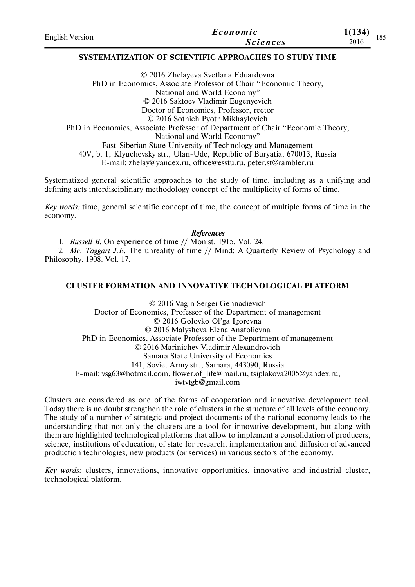| <b>English Version</b> | Economic        | 1(134) | 185 |
|------------------------|-----------------|--------|-----|
|                        | <b>Sciences</b> | 2016   |     |

## **SYSTEMATIZATION OF SCIENTIFIC APPROACHES TO STUDY TIME**

© 2016 Zhelayeva Svetlana Eduardovna PhD in Economics, Associate Professor of Chair "Economic Theory, National and World Economy" © 2016 Saktoev Vladimir Eugenyevich Doctor of Economics, Professor, rector © 2016 Sotnich Pyotr Mikhaylovich PhD in Economics, Associate Professor of Department of Chair "Economic Theory, National and World Economy" East-Siberian State University of Technology and Management 40V, b. 1, Klyuchevsky str., Ulan-Ude, Republic of Buryatia, 670013, Russia E-mail: zhelay@yandex.ru, office@esstu.ru, peter.st@rambler.ru

Systematized general scientific approaches to the study of time, including as a unifying and defining acts interdisciplinary methodology concept of the multiplicity of forms of time.

*Key words:* time, general scientific concept of time, the concept of multiple forms of time in the economy.

*References*

1. *Russell B.* On experience of time // Monist. 1915. Vol. 24.

2. *Mc. Taggart J.E.* The unreality of time // Mind: A Quarterly Review of Psychology and Philosophy. 1908. Vol. 17.

## **CLUSTER FORMATION AND INNOVATIVE TECHNOLOGICAL PLATFORM**

© 2016 Vagin Sergei Gennadievich Doctor of Economics, Professor of the Department of management © 2016 Golovko Ol'ga Igorevna © 2016 Malysheva Elena Anatolievna PhD in Economics, Associate Professor of the Department of management © 2016 Marinichev Vladimir Alexandrovich Samara State University of Economics 141, Soviet Army str., Samara, 443090, Russia E-mail: vsg63@hotmail.com, flower.of\_life@mail.ru, tsiplakova2005@yandex.ru, iwtvtgb@gmail.com

Clusters are considered as one of the forms of cooperation and innovative development tool. Today there is no doubt strengthen the role of clusters in the structure of all levels of the economy. The study of a number of strategic and project documents of the national economy leads to the understanding that not only the clusters are a tool for innovative development, but along with them are highlighted technological platforms that allow to implement a consolidation of producers, science, institutions of education, of state for research, implementation and diffusion of advanced production technologies, new products (or services) in various sectors of the economy.

*Key words:* clusters, innovations, innovative opportunities, innovative and industrial cluster, technological platform.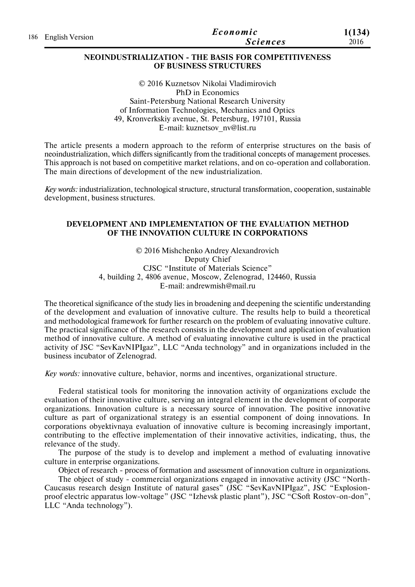|                     | Economic        | 1(134) |
|---------------------|-----------------|--------|
| 186 English Version | <i>Sciences</i> | 2016   |

### **NEOINDUSTRIALIZATION - THE BASIS FOR COMPETITIVENESS OF BUSINESS STRUCTURES**

© 2016 Kuznetsov Nikolai Vladimirovich PhD in Economics Saint-Petersburg National Research University of Information Technologies, Mechanics and Optics 49, Kronverkskiy avenue, St. Petersburg, 197101, Russia E-mail: kuznetsov\_nv@list.ru

The article presents a modern approach to the reform of enterprise structures on the basis of neoindustrialization, which differs significantly from the traditional concepts of management processes. This approach is not based on competitive market relations, and on co-operation and collaboration. The main directions of development of the new industrialization.

*Key words:* industrialization, technological structure, structural transformation, cooperation, sustainable development, business structures.

## **DEVELOPMENT AND IMPLEMENTATION OF THE EVALUATION METHOD OF THE INNOVATION CULTURE IN CORPORATIONS**

© 2016 Mishchenko Andrey Alexandrovich Deputy Chief CJSC "Institute of Materials Science" 4, building 2, 4806 avenue, Moscow, Zelenograd, 124460, Russia E-mail: andrewmish@mail.ru

The theoretical significance of the study lies in broadening and deepening the scientific understanding of the development and evaluation of innovative culture. The results help to build a theoretical and methodological framework for further research on the problem of evaluating innovative culture. The practical significance of the research consists in the development and application of evaluation method of innovative culture. A method of evaluating innovative culture is used in the practical activity of JSC "SevKavNIPIgaz", LLC "Anda technology" and in organizations included in the business incubator of Zelenograd.

*Key words:* innovative culture, behavior, norms and incentives, organizational structure.

Federal statistical tools for monitoring the innovation activity of organizations exclude the evaluation of their innovative culture, serving an integral element in the development of corporate organizations. Innovation culture is a necessary source of innovation. The positive innovative culture as part of organizational strategy is an essential component of doing innovations. In corporations obyektivnaya evaluation of innovative culture is becoming increasingly important, contributing to the effective implementation of their innovative activities, indicating, thus, the relevance of the study.

The purpose of the study is to develop and implement a method of evaluating innovative culture in enterprise organizations.

Object of research - process of formation and assessment of innovation culture in organizations.

The object of study - commercial organizations engaged in innovative activity (JSC "North-Caucasus research design Institute of natural gases" (JSC "SevKavNIPIgaz", JSC "Explosionproof electric apparatus low-voltage" (JSC "Izhevsk plastic plant"), JSC "CSoft Rostov-on-don", LLC "Anda technology").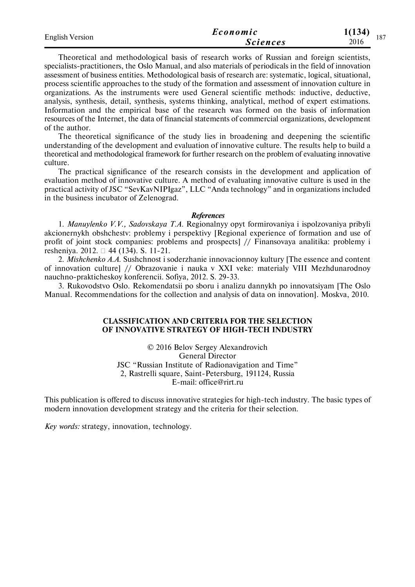| <b>English Version</b> | Economic        | 1(134)<br>187 |  |
|------------------------|-----------------|---------------|--|
|                        | <i>Sciences</i> | 2016          |  |

Theoretical and methodological basis of research works of Russian and foreign scientists, specialists-practitioners, the Oslo Manual, and also materials of periodicals in the field of innovation assessment of business entities. Methodological basis of research are: systematic, logical, situational, process scientific approaches to the study of the formation and assessment of innovation culture in organizations. As the instruments were used General scientific methods: inductive, deductive, analysis, synthesis, detail, synthesis, systems thinking, analytical, method of expert estimations. Information and the empirical base of the research was formed on the basis of information resources of the Internet, the data of financial statements of commercial organizations, development of the author.

The theoretical significance of the study lies in broadening and deepening the scientific understanding of the development and evaluation of innovative culture. The results help to build a theoretical and methodological framework for further research on the problem of evaluating innovative culture.

The practical significance of the research consists in the development and application of evaluation method of innovative culture. A method of evaluating innovative culture is used in the practical activity of JSC "SevKavNIPIgaz", LLC "Anda technology" and in organizations included in the business incubator of Zelenograd.

#### *References*

1. *Manuylenko V.V., Sadovskaya T.A.* Regionalnyy opyt formirovaniya i ispolzovaniya pribyli akcionernykh obshchestv: problemy i perspektivy [Regional experience of formation and use of profit of joint stock companies: problems and prospects] // Finansovaya analitika: problemy i resheniya. 2012. 44 (134). S. 11-21.

2. *Mishchenko A.A.* Sushchnost i soderzhanie innovacionnoy kultury [The essence and content of innovation culture] // Obrazovanie i nauka v XXI veke: materialy VIII Mezhdunarodnoy nauchno-prakticheskoy konferencii. Sofiya, 2012. S. 29-33.

3. Rukovodstvo Oslo. Rekomendatsii po sboru i analizu dannykh po innovatsiyam [The Oslo Manual. Recommendations for the collection and analysis of data on innovation]. Moskva, 2010.

### **CLASSIFICATION AND CRITERIA FOR THE SELECTION OF INNOVATIVE STRATEGY OF HIGH-TECH INDUSTRY**

© 2016 Belov Sergey Alexandrovich General Director JSC "Russian Institute of Radionavigation and Time" 2, Rastrelli square, Saint-Petersburg, 191124, Russia E-mail: office@rirt.ru

This publication is offered to discuss innovative strategies for high-tech industry. The basic types of modern innovation development strategy and the criteria for their selection.

*Key words:* strategy, innovation, technology.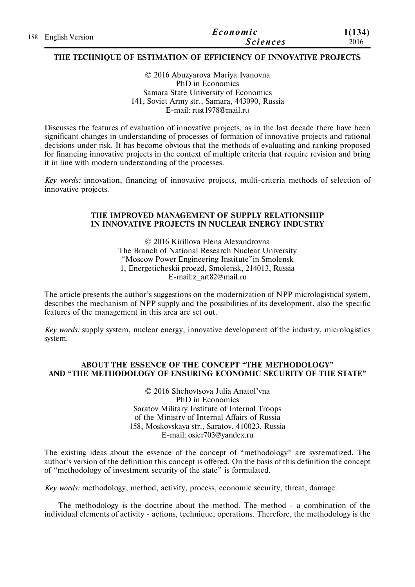| 188 English Version | Economic        | 1(134) |
|---------------------|-----------------|--------|
|                     | <b>Sciences</b> | 2016   |

## **THE TECHNIQUE OF ESTIMATION OF EFFICIENCY OF INNOVATIVE PROJECTS**

© 2016 Abuzyarova Mariya Ivanovna PhD in Economics Samara State University of Economics 141, Soviet Army str., Samara, 443090, Russia E-mail: rust1978@mail.ru

Discusses the features of evaluation of innovative projects, as in the last decade there have been significant changes in understanding of processes of formation of innovative projects and rational decisions under risk. It has become obvious that the methods of evaluating and ranking proposed for financing innovative projects in the context of multiple criteria that require revision and bring it in line with modern understanding of the processes.

*Key words:* innovation, financing of innovative projects, multi-criteria methods of selection of innovative projects.

## **THE IMPROVED MANAGEMENT OF SUPPLY RELATIONSHIP IN INNOVATIVE PROJECTS IN NUCLEAR ENERGY INDUSTRY**

© 2016 Kirillova Elena Alexandrovna The Branch of National Research Nuclear University "Moscow Power Engineering Institute"in Smolensk 1, Energeticheskii proezd, Smolensk, 214013, Russia E-mail:z\_art82@mail.ru

The article presents the author's suggestions on the modernization of NPP micrologistical system, describes the mechanism of NPP supply and the possibilities of its development, also the specific features of the management in this area are set out.

*Key words:* supply system, nuclear energy, innovative development of the industry, micrologistics system.

## **ABOUT THE ESSENCE OF THE CONCEPT "THE METHODOLOGY" AND "THE METHODOLOGY OF ENSURING ECONOMIC SECURITY OF THE STATE"**

© 2016 Shehovtsova Julia Anatol'vna PhD in Economics Saratov Military Institute of Internal Troops of the Ministry of Internal Affairs of Russia 158, Moskovskaya str., Saratov, 410023, Russia E-mail: osier703@yandex.ru

The existing ideas about the essence of the concept of "methodology" are systematized. The author's version of the definition this concept is offered. On the basis of this definition the concept of "methodology of investment security of the state" is formulated.

*Key words:* methodology, method, activity, process, economic security, threat, damage.

The methodology is the doctrine about the method. The method - a combination of the individual elements of activity - actions, technique, operations. Therefore, the methodology is the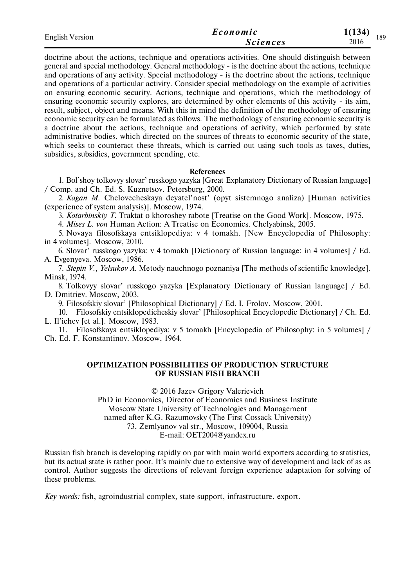| <b>English Version</b> | Economic        | 1(134)<br>189 |
|------------------------|-----------------|---------------|
|                        | <i>Sciences</i> | 2016          |

doctrine about the actions, technique and operations activities. One should distinguish between general and special methodology. General methodology - is the doctrine about the actions, technique and operations of any activity. Special methodology - is the doctrine about the actions, technique and operations of a particular activity. Consider special methodology on the example of activities on ensuring economic security. Actions, technique and operations, which the methodology of ensuring economic security explores, are determined by other elements of this activity - its aim, result, subject, object and means. With this in mind the definition of the methodology of ensuring economic security can be formulated as follows. The methodology of ensuring economic security is a doctrine about the actions, technique and operations of activity, which performed by state administrative bodies, which directed on the sources of threats to economic security of the state, which seeks to counteract these threats, which is carried out using such tools as taxes, duties, subsidies, subsidies, government spending, etc.

#### **References**

1. Bol'shoy tolkovyy slovar' russkogo yazyka [Great Explanatory Dictionary of Russian language] / Comp. and Ch. Ed. S. Kuznetsov. Petersburg, 2000.

2. *Kagan M.* Chelovecheskaya deyatel'nost' (opyt sistemnogo analiza) [Human activities (experience of system analysis)]. Moscow, 1974.

3. *Kotarbinskiy T.* Traktat o khoroshey rabote [Treatise on the Good Work]. Moscow, 1975.

4. *Mises L. von* Human Action: A Treatise on Economics. Chelyabinsk, 2005.

5. Novaya filosofskaya entsiklopediya: v 4 tomakh. [New Encyclopedia of Philosophy: in 4 volumes]. Moscow, 2010.

6. Slovar' russkogo yazyka: v 4 tomakh [Dictionary of Russian language: in 4 volumes] / Ed. A. Evgenyeva. Moscow, 1986.

7. *Stepin V., Yelsukov A.* Metody nauchnogo poznaniya [The methods of scientific knowledge]. Minsk, 1974.

8. Tolkovyy slovar' russkogo yazyka [Explanatory Dictionary of Russian language] / Ed. D. Dmitriev. Moscow, 2003.

9. Filosofskiy slovar' [Philosophical Dictionary] / Ed. I. Frolov. Moscow, 2001.

10. Filosofskiy entsiklopedicheskiy slovar' [Philosophical Encyclopedic Dictionary] / Ch. Ed. L. Il'ichev [et al.]. Moscow, 1983.

11. Filosofskaya entsiklopediya: v 5 tomakh [Encyclopedia of Philosophy: in 5 volumes] / Ch. Ed. F. Konstantinov. Moscow, 1964.

## **OPTIMIZATION POSSIBILITIES OF PRODUCTION STRUCTURE OF RUSSIAN FISH BRANCH**

© 2016 Jazev Grigory Valerievich PhD in Economics, Director of Economics and Business Institute Moscow State University of Technologies and Management named after K.G. Razumovsky (The First Cossack University) 73, Zemlyanov val str., Moscow, 109004, Russia E-mail: OET2004@yandex.ru

Russian fish branch is developing rapidly on par with main world exporters according to statistics, but its actual state is rather poor. It's mainly due to extensive way of development and lack of as as control. Author suggests the directions of relevant foreign experience adaptation for solving of these problems.

*Key words:* fish, agroindustrial complex, state support, infrastructure, export.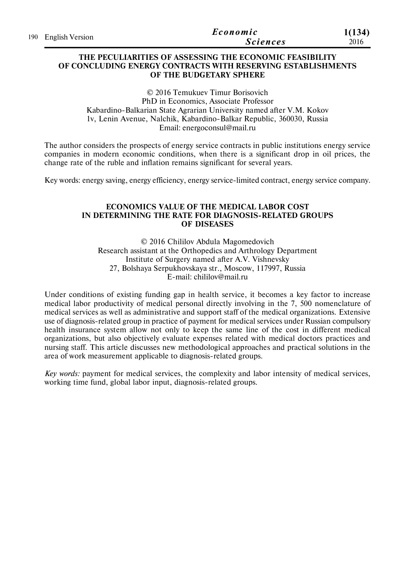| 190 English Version | Economic | 1(134)          |
|---------------------|----------|-----------------|
|                     |          | <i>Sciences</i> |

## **THE PECULIARITIES OF ASSESSING THE ECONOMIC FEASIBILITY OF CONCLUDING ENERGY CONTRACTS WITH RESERVING ESTABLISHMENTS OF THE BUDGETARY SPHERE**

© 2016 Temukuev Timur Borisovich PhD in Economics, Associate Professor Kabardino-Balkarian State Agrarian University named after V.M. Kokov 1v, Lenin Avenue, Nalchik, Kabardino-Balkar Republic, 360030, Russia Email: energoconsul@mail.ru

The author considers the prospects of energy service contracts in public institutions energy service companies in modern economic conditions, when there is a significant drop in oil prices, the change rate of the ruble and inflation remains significant for several years.

Key words: energy saving, energy efficiency, energy service-limited contract, energy service company.

## **ECONOMICS VALUE OF THE MEDICAL LABOR COST IN DETERMINING THE RATE FOR DIAGNOSIS-RELATED GROUPS OF DISEASES**

© 2016 Chililov Abdula Magomedovich Research assistant at the Orthopedics and Arthrology Department Institute of Surgery named after A.V. Vishnevsky 27, Bolshaya Serpukhovskaya str., Moscow, 117997, Russia E-mail: chililov@mail.ru

Under conditions of existing funding gap in health service, it becomes a key factor to increase medical labor productivity of medical personal directly involving in the 7, 500 nomenclature of medical services as well as administrative and support staff of the medical organizations. Extensive use of diagnosis-related group in practice of payment for medical services under Russian compulsory health insurance system allow not only to keep the same line of the cost in different medical organizations, but also objectively evaluate expenses related with medical doctors practices and nursing staff. This article discusses new methodological approaches and practical solutions in the area of work measurement applicable to diagnosis-related groups.

*Key words:* payment for medical services, the complexity and labor intensity of medical services, working time fund, global labor input, diagnosis-related groups.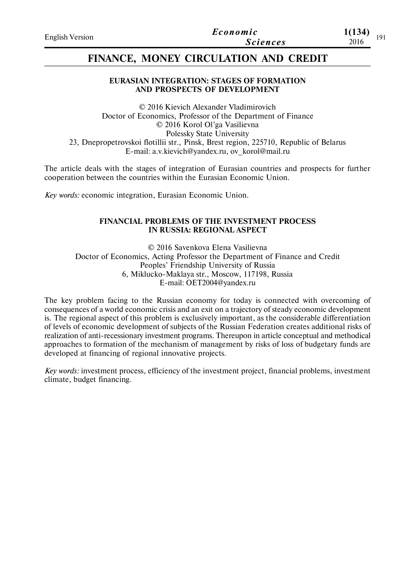| <b>English Version</b> | Economic        | 1(134)<br>101 |
|------------------------|-----------------|---------------|
|                        | <b>Sciences</b> | 2016          |

## **FINANCE, MONEY CIRCULATION AND CREDIT**

## **EURASIAN INTEGRATION: STAGES OF FORMATION AND PROSPECTS OF DEVELOPMENT**

© 2016 Kievich Alexander Vladimirovich Doctor of Economics, Professor of the Department of Finance © 2016 Korol Ol'ga Vasilievna Polessky State University 23, Dnepropetrovskoi flotillii str., Pinsk, Brest region, 225710, Republic of Belarus Е-mail: a.v.kievich@yandex.ru, ov\_korol@mail.ru

The article deals with the stages of integration of Eurasian countries and prospects for further cooperation between the countries within the Eurasian Economic Union.

*Key words:* economic integration, Eurasian Economic Union.

### **FINANCIAL PROBLEMS OF THE INVESTMENT PROCESS IN RUSSIA: REGIONAL ASPECT**

© 2016 Savenkova Elena Vasilievna Doctor of Economics, Acting Professor the Department of Finance and Credit Peoples' Friendship University of Russia 6, Miklucko-Maklaya str., Moscow, 117198, Russia E-mail: OET2004@yandex.ru

The key problem facing to the Russian economy for today is connected with overcoming of consequences of a world economic crisis and an exit on a trajectory of steady economic development is. The regional aspect of this problem is exclusively important, as the considerable differentiation of levels of economic development of subjects of the Russian Federation creates additional risks of realization of anti-recessionary investment programs. Thereupon in article conceptual and methodical approaches to formation of the mechanism of management by risks of loss of budgetary funds are developed at financing of regional innovative projects.

*Key words:* investment process, efficiency of the investment project, financial problems, investment climate, budget financing.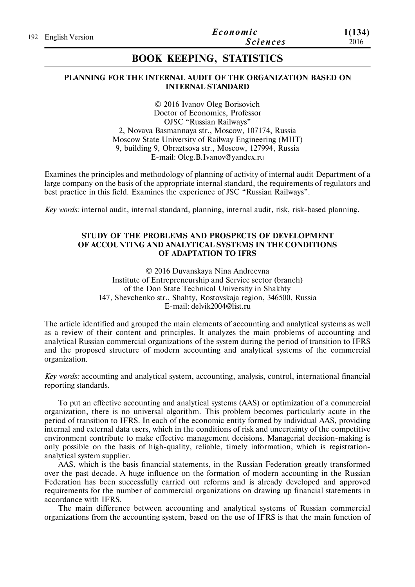# **BOOK KEEPING, STATISTICS**

## **PLANNING FOR THE INTERNAL AUDIT OF THE ORGANIZATION BASED ON INTERNAL STANDARD**

© 2016 Ivanov Oleg Borisovich Doctor of Economics, Professor OJSC "Russian Railways" 2, Novaya Basmannaya str., Moscow, 107174, Russia Moscow State University of Railway Engineering (MIIT) 9, building 9, Obraztsova str., Moscow, 127994, Russia E-mail: Oleg.B.Ivanov@yandex.ru

Examines the principles and methodology of planning of activity of internal audit Department of a large company on the basis of the appropriate internal standard, the requirements of regulators and best practice in this field. Examines the experience of JSC "Russian Railways".

*Key words:* internal audit, internal standard, planning, internal audit, risk, risk-based planning.

## **STUDY OF THE PROBLEMS AND PROSPECTS OF DEVELOPMENT OF ACCOUNTING AND ANALYTICAL SYSTEMS IN THE CONDITIONS OF ADAPTATION TO IFRS**

© 2016 Duvanskaya Nina Andreevna Institute of Entrepreneurship and Service sector (branch) of the Don State Technical University in Shakhty 147, Shevchenko str., Shahty, Rostovskaja region, 346500, Russia E-mail: delvik2004@list.ru

The article identified and grouped the main elements of accounting and analytical systems as well as a review of their content and principles. It analyzes the main problems of accounting and analytical Russian commercial organizations of the system during the period of transition to IFRS and the proposed structure of modern accounting and analytical systems of the commercial organization.

*Key words:* accounting and analytical system, accounting, analysis, control, international financial reporting standards.

To put an effective accounting and analytical systems (AAS) or optimization of a commercial organization, there is no universal algorithm. This problem becomes particularly acute in the period of transition to IFRS. In each of the economic entity formed by individual AAS, providing internal and external data users, which in the conditions of risk and uncertainty of the competitive environment contribute to make effective management decisions. Managerial decision-making is only possible on the basis of high-quality, reliable, timely information, which is registrationanalytical system supplier.

AAS, which is the basis financial statements, in the Russian Federation greatly transformed over the past decade. A huge influence on the formation of modern accounting in the Russian Federation has been successfully carried out reforms and is already developed and approved requirements for the number of commercial organizations on drawing up financial statements in accordance with IFRS.

The main difference between accounting and analytical systems of Russian commercial organizations from the accounting system, based on the use of IFRS is that the main function of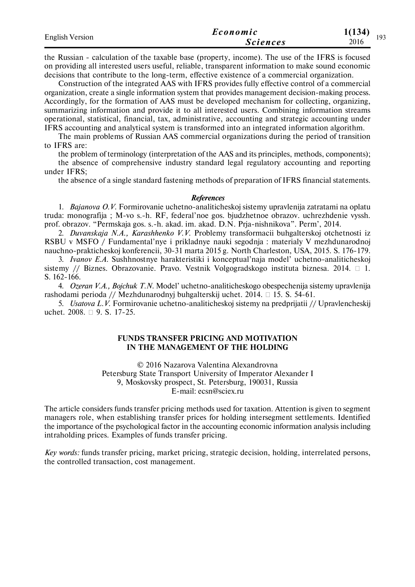| <b>English Version</b> | Economic        | 1(134)<br>193 |
|------------------------|-----------------|---------------|
|                        | <b>Sciences</b> | 2016          |

the Russian - calculation of the taxable base (property, income). The use of the IFRS is focused on providing all interested users useful, reliable, transparent information to make sound economic decisions that contribute to the long-term, effective existence of a commercial organization.

Construction of the integrated AAS with IFRS provides fully effective control of a commercial organization, create a single information system that provides management decision-making process. Accordingly, for the formation of AAS must be developed mechanism for collecting, organizing, summarizing information and provide it to all interested users. Combining information streams operational, statistical, financial, tax, administrative, accounting and strategic accounting under IFRS accounting and analytical system is transformed into an integrated information algorithm.

The main problems of Russian AAS commercial organizations during the period of transition to IFRS are:

the problem of terminology (interpretation of the AAS and its principles, methods, components);

the absence of comprehensive industry standard legal regulatory accounting and reporting under IFRS;

the absence of a single standard fastening methods of preparation of IFRS financial statements.

#### *References*

1. *Bajanova O.V.* Formirovanie uchetno-analiticheskoj sistemy upravlenija zatratami na oplatu truda: monografija ; M-vo s.-h. RF, federal'noe gos. bjudzhetnoe obrazov. uchrezhdenie vyssh. prof. obrazov. "Permskaja gos. s.-h. akad. im. akad. D.N. Prja-nishnikova". Perm', 2014.

2. *Duvanskaja N.A., Karashhenko V.V.* Problemy transformacii buhgalterskoj otchetnosti iz RSBU v MSFO / Fundamental'nye i prikladnye nauki segodnja : materialy V mezhdunarodnoj nauchno-prakticheskoj konferencii, 30-31 marta 2015 g. North Charleston, USA, 2015. S. 176-179.

3. *Ivanov E.A.* Sushhnostnye harakteristiki i konceptual'naja model' uchetno-analiticheskoj sistemy // Biznes. Obrazovanie. Pravo. Vestnik Volgogradskogo instituta biznesa. 2014.  $\Box$  1. S. 162-166.

4. *Ozeran V.A., Bojchuk T.N.* Model' uchetno-analiticheskogo obespechenija sistemy upravlenija rashodami perioda // Mezhdunarodnyj buhgalterskij uchet. 2014.  $\Box$  15. S. 54-61.

5. *Usatova L.V.* Formirovanie uchetno-analiticheskoj sistemy na predprijatii // Upravlencheskij uchet. 2008. □ 9. S. 17-25.

## **FUNDS TRANSFER PRICING AND MOTIVATION IN THE MANAGEMENT OF THE HOLDING**

© 2016 Nazarova Valentina Alexandrovna Petersburg State Transport University of Imperator Alexander I 9, Moskovsky prospect, St. Petersburg, 190031, Russia E-mail: ecsn@sciex.ru

The article considers funds transfer pricing methods used for taxation. Attention is given to segment managers role, when establishing transfer prices for holding intersegment settlements. Identified the importance of the psychological factor in the accounting economic information analysis including intraholding prices. Examples of funds transfer pricing.

*Key words:* funds transfer pricing, market pricing, strategic decision, holding, interrelated persons, the controlled transaction, cost management.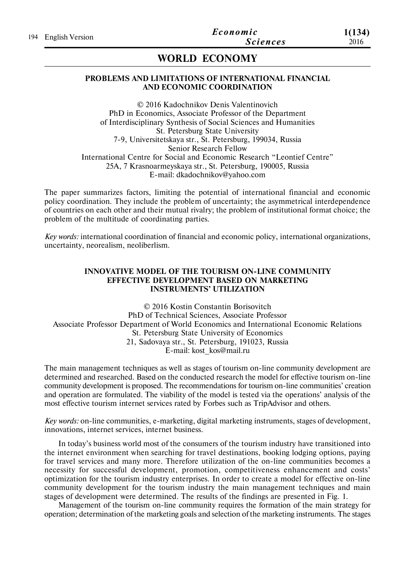# **WORLD ECONOMY**

## **PROBLEMS AND LIMITATIONS OF INTERNATIONAL FINANCIAL AND ECONOMIC COORDINATION**

© 2016 Kadochnikov Denis Valentinovich PhD in Economics, Associate Professor of the Department of Interdisciplinary Synthesis of Social Sciences and Humanities St. Petersburg State University 7-9, Universitetskaya str., St. Petersburg, 199034, Russia Senior Research Fellow International Centre for Social and Economic Research "Leontief Centre" 25А, 7 Krasnoarmeyskaya str., St. Petersburg, 190005, Russia E-mail: dkadochnikov@yahoo.com

The paper summarizes factors, limiting the potential of international financial and economic policy coordination. They include the problem of uncertainty; the asymmetrical interdependence of countries on each other and their mutual rivalry; the problem of institutional format choice; the problem of the multitude of coordinating parties.

*Key words:* international coordination of financial and economic policy, international organizations, uncertainty, neorealism, neoliberlism.

## **INNOVATIVE MODEL OF THE TOURISM ON-LINE COMMUNITY EFFECTIVE DEVELOPMENT BASED ON MARKETING INSTRUMENTS' UTILIZATION**

© 2016 Kostin Constantin Borisovitch PhD of Technical Sciences, Associate Professor Associate Professor Department of World Economics and International Economic Relations St. Petersburg State University of Economics 21, Sadovaya str., St. Petersburg, 191023, Russia E-mail: kost\_kos@mail.ru

The main management techniques as well as stages of tourism on-line community development are determined and researched. Based on the conducted research the model for effective tourism on-line community development is proposed. The recommendations for tourism on-line communities' creation and operation are formulated. The viability of the model is tested via the operations' analysis of the most effective tourism internet services rated by Forbes such as TripAdvisor and others.

*Key words:* on-line communities, e-marketing, digital marketing instruments, stages of development, innovations, internet services, internet business.

In today's business world most of the consumers of the tourism industry have transitioned into the internet environment when searching for travel destinations, booking lodging options, paying for travel services and many more. Therefore utilization of the on-line communities becomes a necessity for successful development, promotion, competitiveness enhancement and costs' optimization for the tourism industry enterprises. In order to create a model for effective on-line community development for the tourism industry the main management techniques and main stages of development were determined. The results of the findings are presented in Fig. 1.

Management of the tourism on-line community requires the formation of the main strategy for operation; determination of the marketing goals and selection of the marketing instruments. The stages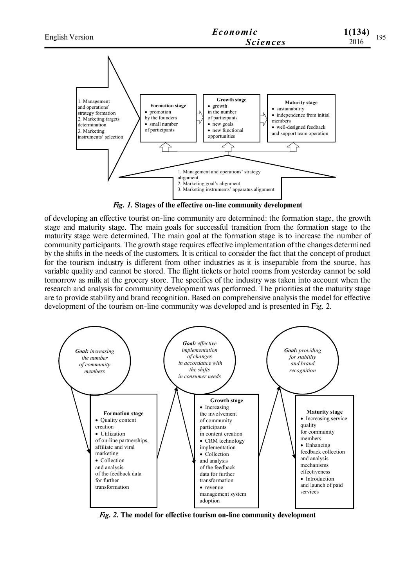

*Fig. 1.* **Stages of the effective on-line community development**

of developing an effective tourist on-line community are determined: the formation stage, the growth stage and maturity stage. The main goals for successful transition from the formation stage to the maturity stage were determined. The main goal at the formation stage is to increase the number of community participants. The growth stage requires effective implementation of the changes determined by the shifts in the needs of the customers. It is critical to consider the fact that the concept of product for the tourism industry is different from other industries as it is inseparable from the source, has variable quality and cannot be stored. The flight tickets or hotel rooms from yesterday cannot be sold tomorrow as milk at the grocery store. The specifics of the industry was taken into account when the research and analysis for community development was performed. The priorities at the maturity stage are to provide stability and brand recognition. Based on comprehensive analysis the model for effective development of the tourism on-line community was developed and is presented in Fig. 2.



*Fig. 2.* **The model for effective tourism on-line community development**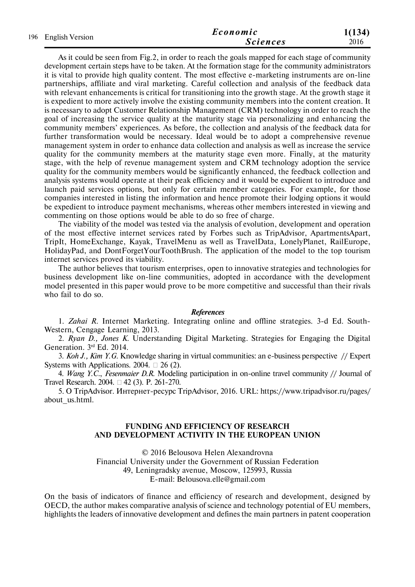| 196 English Version | Economic | 1(134)          |      |
|---------------------|----------|-----------------|------|
|                     |          | <b>Sciences</b> | 2016 |

As it could be seen from Fig.2, in order to reach the goals mapped for each stage of community development certain steps have to be taken. At the formation stage for the community administrators it is vital to provide high quality content. The most effective e-marketing instruments are on-line partnerships, affiliate and viral marketing. Careful collection and analysis of the feedback data with relevant enhancements is critical for transitioning into the growth stage. At the growth stage it is expedient to more actively involve the existing community members into the content creation. It is necessary to adopt Customer Relationship Management (CRM) technology in order to reach the goal of increasing the service quality at the maturity stage via personalizing and enhancing the community members' experiences. As before, the collection and analysis of the feedback data for further transformation would be necessary. Ideal would be to adopt a comprehensive revenue management system in order to enhance data collection and analysis as well as increase the service quality for the community members at the maturity stage even more. Finally, at the maturity stage, with the help of revenue management system and CRM technology adoption the service quality for the community members would be significantly enhanced, the feedback collection and analysis systems would operate at their peak efficiency and it would be expedient to introduce and launch paid services options, but only for certain member categories. For example, for those companies interested in listing the information and hence promote their lodging options it would be expedient to introduce payment mechanisms, whereas other members interested in viewing and commenting on those options would be able to do so free of charge.

The viability of the model was tested via the analysis of evolution, development and operation of the most effective internet services rated by Forbes such as TripAdvisor, ApartmentsApart, TripIt, HomeExchange, Kayak, TravelMenu as well as TravelData, LonelyPlanet, RailEurope, HolidayPad, and DontForgetYourToothBrush. The application of the model to the top tourism internet services proved its viability.

The author believes that tourism enterprises, open to innovative strategies and technologies for business development like on-line communities, adopted in accordance with the development model presented in this paper would prove to be more competitive and successful than their rivals who fail to do so.

#### *References*

1. *Zahai R.* Internet Marketing. Integrating online and offline strategies. 3-d Ed. South-Western, Cengage Learning, 2013.

2. *Ryan D., Jones K.* Understanding Digital Marketing. Strategies for Engaging the Digital Generation. 3rd Ed. 2014.

3. *Koh J., Kim Y.G.* Knowledge sharing in virtual communities: an e-business perspective // Expert Systems with Applications. 2004.  $\Box$  26 (2).

4. *Wang Y.C.*, *Fesenmaier D.R.* Modeling participation in on-online travel community // Journal of Travel Research. 2004. □ 42 (3). P. 261-270.

5. О TripAdvisor. Интернет-ресурс TripAdvisor, 2016. URL: https://www.tripadvisor.ru/pages/ about\_us.html.

## **FUNDING AND EFFICIENCY OF RESEARCH AND DEVELOPMENT ACTIVITY IN THE EUROPEAN UNION**

© 2016 Belousova Helen Alexandrovna Financial University under the Government of Russian Federation 49, Leningradsky avenue, Moscow, 125993, Russia E-mail: Belousova.elle@gmail.com

On the basis of indicators of finance and efficiency of research and development, designed by OECD, the author makes comparative analysis of science and technology potential of EU members, highlights the leaders of innovative development and defines the main partners in patent cooperation